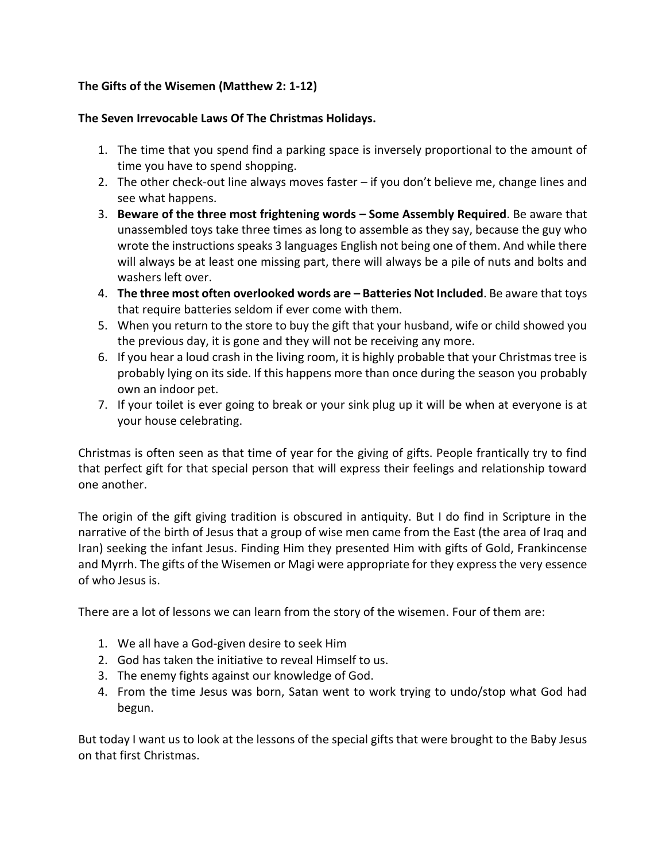## **The Gifts of the Wisemen (Matthew 2: 1-12)**

#### **The Seven Irrevocable Laws Of The Christmas Holidays.**

- 1. The time that you spend find a parking space is inversely proportional to the amount of time you have to spend shopping.
- 2. The other check-out line always moves faster if you don't believe me, change lines and see what happens.
- 3. **Beware of the three most frightening words – Some Assembly Required**. Be aware that unassembled toys take three times as long to assemble as they say, because the guy who wrote the instructions speaks 3 languages English not being one of them. And while there will always be at least one missing part, there will always be a pile of nuts and bolts and washers left over.
- 4. **The three most often overlooked words are – Batteries Not Included**. Be aware that toys that require batteries seldom if ever come with them.
- 5. When you return to the store to buy the gift that your husband, wife or child showed you the previous day, it is gone and they will not be receiving any more.
- 6. If you hear a loud crash in the living room, it is highly probable that your Christmas tree is probably lying on its side. If this happens more than once during the season you probably own an indoor pet.
- 7. If your toilet is ever going to break or your sink plug up it will be when at everyone is at your house celebrating.

Christmas is often seen as that time of year for the giving of gifts. People frantically try to find that perfect gift for that special person that will express their feelings and relationship toward one another.

The origin of the gift giving tradition is obscured in antiquity. But I do find in Scripture in the narrative of the birth of Jesus that a group of wise men came from the East (the area of Iraq and Iran) seeking the infant Jesus. Finding Him they presented Him with gifts of Gold, Frankincense and Myrrh. The gifts of the Wisemen or Magi were appropriate for they express the very essence of who Jesus is.

There are a lot of lessons we can learn from the story of the wisemen. Four of them are:

- 1. We all have a God-given desire to seek Him
- 2. God has taken the initiative to reveal Himself to us.
- 3. The enemy fights against our knowledge of God.
- 4. From the time Jesus was born, Satan went to work trying to undo/stop what God had begun.

But today I want us to look at the lessons of the special gifts that were brought to the Baby Jesus on that first Christmas.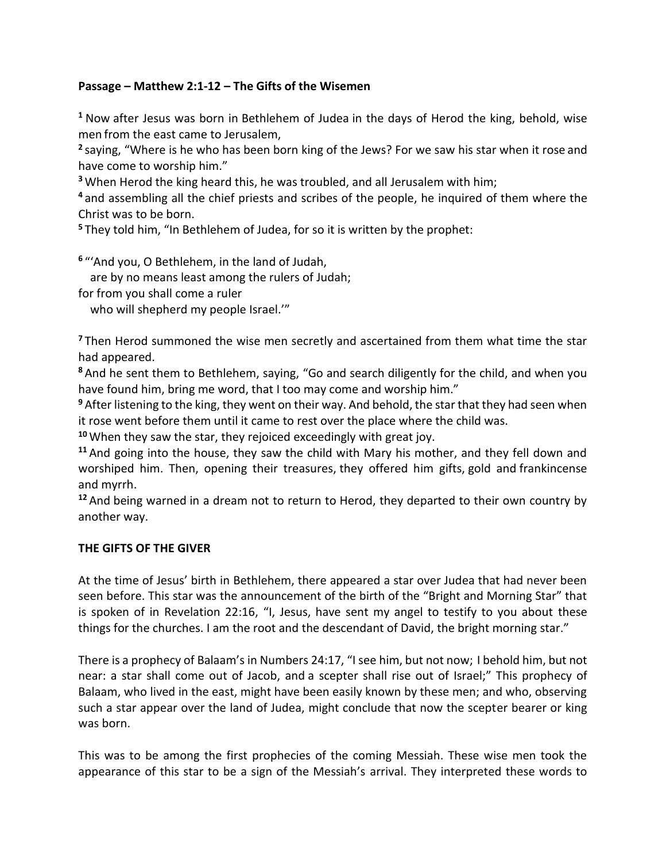#### **Passage – Matthew 2:1-12 – The Gifts of the Wisemen**

**<sup>1</sup>** Now after Jesus was born in Bethlehem of Judea in the days of Herod the king, behold, wise men from the east came to Jerusalem,

**2** saying, "Where is he who has been born king of the Jews? For we saw his star when it rose and have come to worship him."

**<sup>3</sup>** When Herod the king heard this, he was troubled, and all Jerusalem with him;

**<sup>4</sup>** and assembling all the chief priests and scribes of the people, he inquired of them where the Christ was to be born.

**<sup>5</sup>** They told him, "In Bethlehem of Judea, for so it is written by the prophet:

**6** "'And you, O Bethlehem, in the land of Judah,

are by no means least among the rulers of Judah;

for from you shall come a ruler

who will shepherd my people Israel."

**<sup>7</sup>** Then Herod summoned the wise men secretly and ascertained from them what time the star had appeared.

**<sup>8</sup>** And he sent them to Bethlehem, saying, "Go and search diligently for the child, and when you have found him, bring me word, that I too may come and worship him."

**<sup>9</sup>** After listening to the king, they went on their way. And behold, the star that they had seen when it rose went before them until it came to rest over the place where the child was.

**<sup>10</sup>** When they saw the star, they rejoiced exceedingly with great joy.

**<sup>11</sup>** And going into the house, they saw the child with Mary his mother, and they fell down and worshiped him. Then, opening their treasures, they offered him gifts, gold and frankincense and myrrh.

**<sup>12</sup>** And being warned in a dream not to return to Herod, they departed to their own country by another way.

#### **THE GIFTS OF THE GIVER**

At the time of Jesus' birth in Bethlehem, there appeared a star over Judea that had never been seen before. This star was the announcement of the birth of the "Bright and Morning Star" that is spoken of in Revelation 22:16, "I, Jesus, have sent my angel to testify to you about these things for the churches. I am the root and the descendant of David, the bright morning star."

There is a prophecy of Balaam's in Numbers 24:17, "I see him, but not now; I behold him, but not near: a star shall come out of Jacob, and a scepter shall rise out of Israel;" This prophecy of Balaam, who lived in the east, might have been easily known by these men; and who, observing such a star appear over the land of Judea, might conclude that now the scepter bearer or king was born.

This was to be among the first prophecies of the coming Messiah. These wise men took the appearance of this star to be a sign of the Messiah's arrival. They interpreted these words to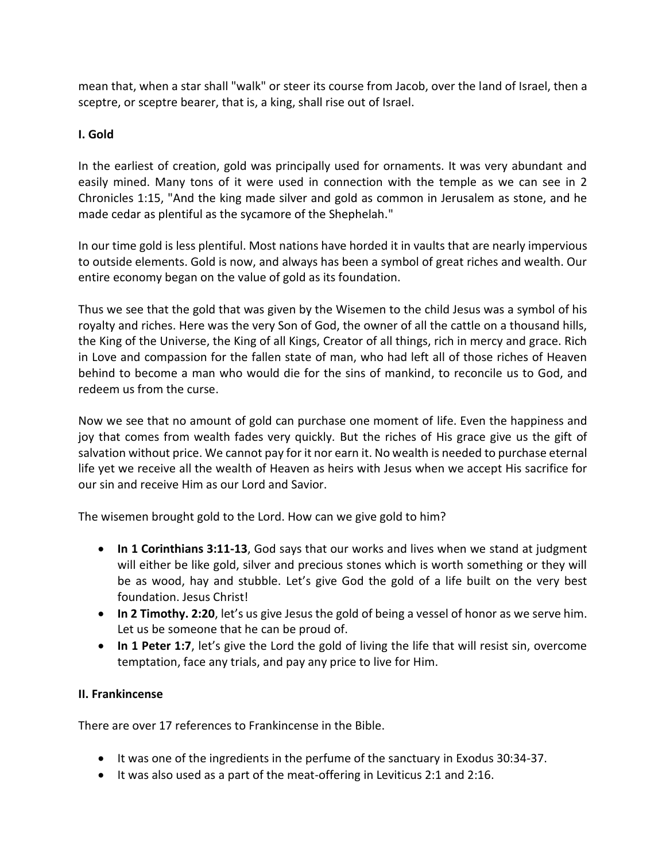mean that, when a star shall "walk" or steer its course from Jacob, over the land of Israel, then a sceptre, or sceptre bearer, that is, a king, shall rise out of Israel.

## **I. Gold**

In the earliest of creation, gold was principally used for ornaments. It was very abundant and easily mined. Many tons of it were used in connection with the temple as we can see in 2 Chronicles 1:15, "And the king made silver and gold as common in Jerusalem as stone, and he made cedar as plentiful as the sycamore of the Shephelah."

In our time gold is less plentiful. Most nations have horded it in vaults that are nearly impervious to outside elements. Gold is now, and always has been a symbol of great riches and wealth. Our entire economy began on the value of gold as its foundation.

Thus we see that the gold that was given by the Wisemen to the child Jesus was a symbol of his royalty and riches. Here was the very Son of God, the owner of all the cattle on a thousand hills, the King of the Universe, the King of all Kings, Creator of all things, rich in mercy and grace. Rich in Love and compassion for the fallen state of man, who had left all of those riches of Heaven behind to become a man who would die for the sins of mankind, to reconcile us to God, and redeem us from the curse.

Now we see that no amount of gold can purchase one moment of life. Even the happiness and joy that comes from wealth fades very quickly. But the riches of His grace give us the gift of salvation without price. We cannot pay for it nor earn it. No wealth is needed to purchase eternal life yet we receive all the wealth of Heaven as heirs with Jesus when we accept His sacrifice for our sin and receive Him as our Lord and Savior.

The wisemen brought gold to the Lord. How can we give gold to him?

- **In 1 Corinthians 3:11-13**, God says that our works and lives when we stand at judgment will either be like gold, silver and precious stones which is worth something or they will be as wood, hay and stubble. Let's give God the gold of a life built on the very best foundation. Jesus Christ!
- **In 2 Timothy. 2:20**, let's us give Jesus the gold of being a vessel of honor as we serve him. Let us be someone that he can be proud of.
- In 1 Peter 1:7, let's give the Lord the gold of living the life that will resist sin, overcome temptation, face any trials, and pay any price to live for Him.

## **II. Frankincense**

There are over 17 references to Frankincense in the Bible.

- It was one of the ingredients in the perfume of the sanctuary in Exodus 30:34-37.
- It was also used as a part of the meat-offering in Leviticus 2:1 and 2:16.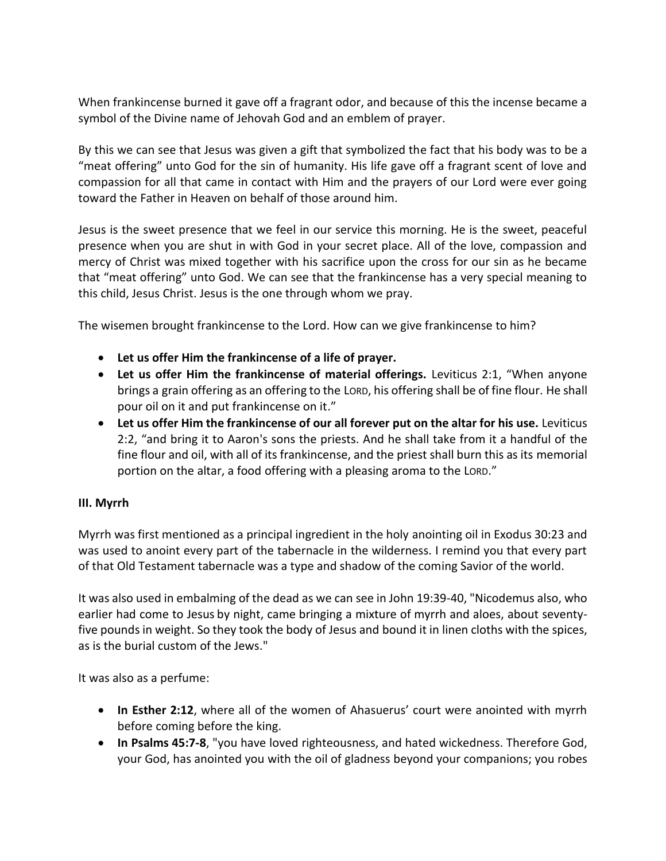When frankincense burned it gave off a fragrant odor, and because of this the incense became a symbol of the Divine name of Jehovah God and an emblem of prayer.

By this we can see that Jesus was given a gift that symbolized the fact that his body was to be a "meat offering" unto God for the sin of humanity. His life gave off a fragrant scent of love and compassion for all that came in contact with Him and the prayers of our Lord were ever going toward the Father in Heaven on behalf of those around him.

Jesus is the sweet presence that we feel in our service this morning. He is the sweet, peaceful presence when you are shut in with God in your secret place. All of the love, compassion and mercy of Christ was mixed together with his sacrifice upon the cross for our sin as he became that "meat offering" unto God. We can see that the frankincense has a very special meaning to this child, Jesus Christ. Jesus is the one through whom we pray.

The wisemen brought frankincense to the Lord. How can we give frankincense to him?

- **Let us offer Him the frankincense of a life of prayer.**
- **Let us offer Him the frankincense of material offerings.** Leviticus 2:1, "When anyone brings a grain offering as an offering to the LORD, his offering shall be of fine flour. He shall pour oil on it and put frankincense on it."
- **Let us offer Him the frankincense of our all forever put on the altar for his use.** Leviticus 2:2, "and bring it to Aaron's sons the priests. And he shall take from it a handful of the fine flour and oil, with all of its frankincense, and the priest shall burn this as its memorial portion on the altar, a food offering with a pleasing aroma to the LORD."

## **III. Myrrh**

Myrrh was first mentioned as a principal ingredient in the holy anointing oil in Exodus 30:23 and was used to anoint every part of the tabernacle in the wilderness. I remind you that every part of that Old Testament tabernacle was a type and shadow of the coming Savior of the world.

It was also used in embalming of the dead as we can see in John 19:39-40, "Nicodemus also, who earlier had come to Jesus by night, came bringing a mixture of myrrh and aloes, about seventyfive pounds in weight. So they took the body of Jesus and bound it in linen cloths with the spices, as is the burial custom of the Jews."

It was also as a perfume:

- **In Esther 2:12**, where all of the women of Ahasuerus' court were anointed with myrrh before coming before the king.
- **In Psalms 45:7-8**, "you have loved righteousness, and hated wickedness. Therefore God, your God, has anointed you with the oil of gladness beyond your companions; you robes